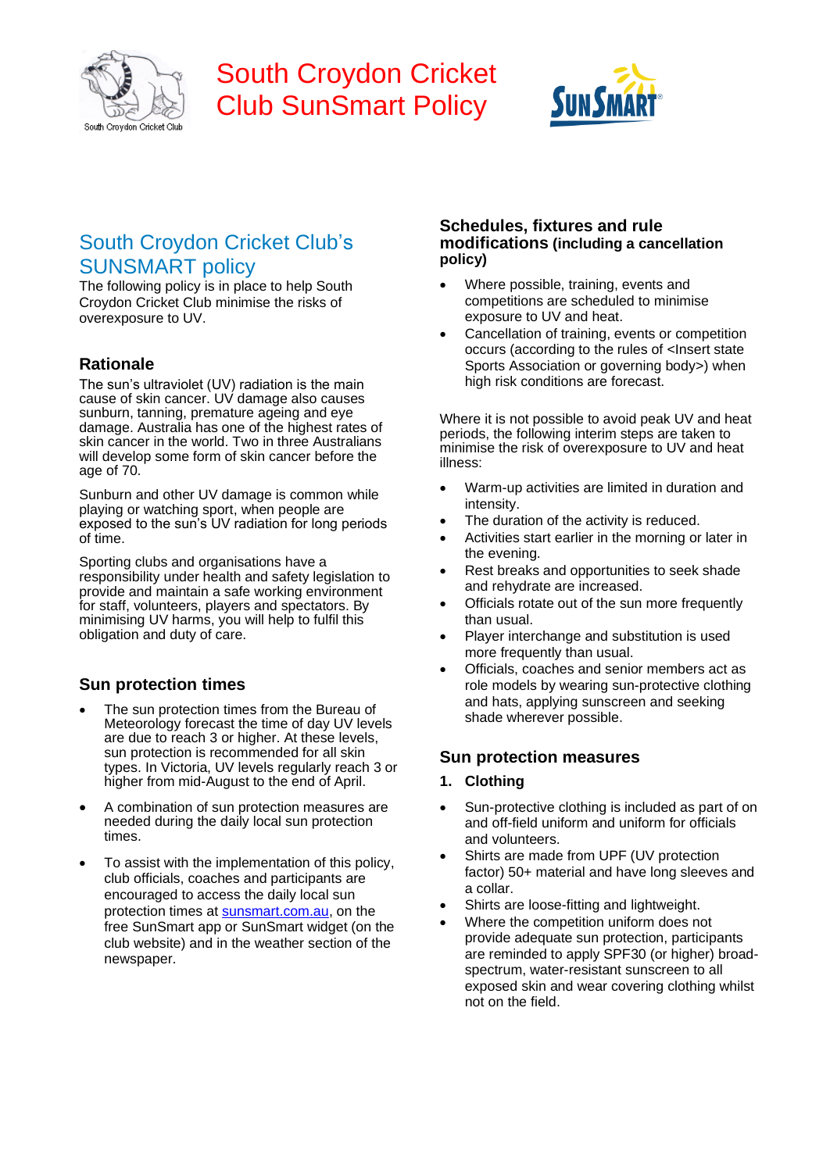

# South Croydon Cricket Club SunSmart Policy



# South Croydon Cricket Club's SUNSMART policy

The following policy is in place to help South Croydon Cricket Club minimise the risks of overexposure to UV.

## **Rationale**

The sun's ultraviolet (UV) radiation is the main cause of skin cancer. UV damage also causes sunburn, tanning, premature ageing and eye damage. Australia has one of the highest rates of skin cancer in the world. Two in three Australians will develop some form of skin cancer before the age of 70.

Sunburn and other UV damage is common while playing or watching sport, when people are exposed to the sun's UV radiation for long periods of time.

Sporting clubs and organisations have a responsibility under health and safety legislation to provide and maintain a safe working environment for staff, volunteers, players and spectators. By minimising UV harms, you will help to fulfil this obligation and duty of care.

### **Sun protection times**

- The sun protection times from the Bureau of Meteorology forecast the time of day UV levels are due to reach 3 or higher. At these levels, sun protection is recommended for all skin types. In Victoria, UV levels regularly reach 3 or higher from mid-August to the end of April.
- A combination of sun protection measures are needed during the daily local sun protection times.
- To assist with the implementation of this policy, club officials, coaches and participants are encouraged to access the daily local sun protection times at sunsmart.com.au, on the free SunSmart app or SunSmart widget (on the club website) and in the weather section of the newspaper.

#### **Schedules, fixtures and rule modifications (including a cancellation policy)**

- Where possible, training, events and competitions are scheduled to minimise exposure to UV and heat.
- Cancellation of training, events or competition occurs (according to the rules of <Insert state Sports Association or governing body>) when high risk conditions are forecast.

Where it is not possible to avoid peak UV and heat periods, the following interim steps are taken to minimise the risk of overexposure to UV and heat illness:

- Warm-up activities are limited in duration and intensity.
- The duration of the activity is reduced.
- Activities start earlier in the morning or later in the evening.
- Rest breaks and opportunities to seek shade and rehydrate are increased.
- Officials rotate out of the sun more frequently than usual.
- Player interchange and substitution is used more frequently than usual.
- Officials, coaches and senior members act as role models by wearing sun-protective clothing and hats, applying sunscreen and seeking shade wherever possible.

### **Sun protection measures**

#### **1. Clothing**

- Sun-protective clothing is included as part of on and off-field uniform and uniform for officials and volunteers.
- Shirts are made from UPF (UV protection factor) 50+ material and have long sleeves and a collar.
- Shirts are loose-fitting and lightweight.
- Where the competition uniform does not provide adequate sun protection, participants are reminded to apply SPF30 (or higher) broadspectrum, water-resistant sunscreen to all exposed skin and wear covering clothing whilst not on the field.